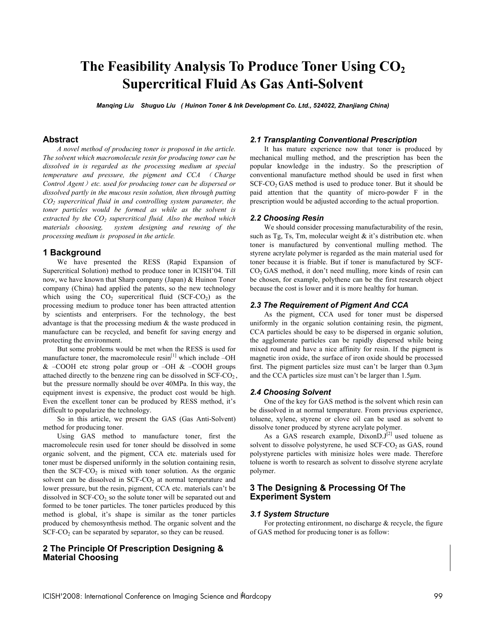# **The Feasibility Analysis To Produce Toner Using CO2 Supercritical Fluid As Gas Anti-Solvent**

*Manqing Liu Shuguo Liu ( Huinon Toner & Ink Development Co. Ltd., 524022, Zhanjiang China)* 

## **Abstract**

*A novel method of producing toner is proposed in the article. The solvent which macromolecule resin for producing toner can be dissolved in is regarded as the processing medium at special temperature and pressure, the pigment and CCA* ( *Charge Control Agent*)*etc. used for producing toner can be dispersed or dissolved partly in the mucous resin solution, then through putting CO2 supercritical fluid in and controlling system parameter, the toner particles would be formed as while as the solvent is*  extracted by the CO<sub>2</sub> supercritical fluid. Also the method which *materials choosing, system designing and reusing of the processing medium is proposed in the article.* 

### **1 Background**

We have presented the RESS (Rapid Expansion of Supercritical Solution) method to produce toner in ICISH'04. Till now, we have known that Sharp company (Japan) & Huinon Toner company (China) had applied the patents, so the new technology which using the  $CO_2$  supercritical fluid (SCF-CO<sub>2</sub>) as the processing medium to produce toner has been attracted attention by scientists and enterprisers. For the technology, the best advantage is that the processing medium & the waste produced in manufacture can be recycled, and benefit for saving energy and protecting the environment.

But some problems would be met when the RESS is used for manufacture toner, the macromolecule  $resin<sup>[1]</sup>$  which include  $-OH$  $& -COOH$  etc strong polar group or  $-OH & -COOH$  groups attached directly to the benzene ring can be dissolved in SCF-CO2 , but the pressure normally should be over 40MPa. In this way, the equipment invest is expensive, the product cost would be high. Even the excellent toner can be produced by RESS method, it's difficult to popularize the technology.

So in this article, we present the GAS (Gas Anti-Solvent) method for producing toner.

Using GAS method to manufacture toner, first the macromolecule resin used for toner should be dissolved in some organic solvent, and the pigment, CCA etc. materials used for toner must be dispersed uniformly in the solution containing resin, then the SCF-CO<sub>2</sub> is mixed with toner solution. As the organic solvent can be dissolved in SCF-CO<sub>2</sub> at normal temperature and lower pressure, but the resin, pigment, CCA etc. materials can't be dissolved in  $SCF-CO<sub>2</sub>$  so the solute toner will be separated out and formed to be toner particles. The toner particles produced by this method is global, it's shape is similar as the toner particles produced by chemosynthesis method. The organic solvent and the  $SCF-CO<sub>2</sub>$  can be separated by separator, so they can be reused.

## **2 The Principle Of Prescription Designing & Material Choosing**

## *2.1 Transplanting Conventional Prescription*

It has mature experience now that toner is produced by mechanical mulling method, and the prescription has been the popular knowledge in the industry. So the prescription of conventional manufacture method should be used in first when  $SCF-CO<sub>2</sub> GAS$  method is used to produce toner. But it should be paid attention that the quantity of micro-powder F in the prescription would be adjusted according to the actual proportion.

#### *2.2 Choosing Resin*

We should consider processing manufacturability of the resin, such as Tg, Ts, Tm, molecular weight  $\&$  it's distribution etc. when toner is manufactured by conventional mulling method. The styrene acrylate polymer is regarded as the main material used for toner because it is friable. But if toner is manufactured by SCF-CO2 GAS method, it don't need mulling, more kinds of resin can be chosen, for example, polythene can be the first research object because the cost is lower and it is more healthy for human.

### *2.3 The Requirement of Pigment And CCA*

As the pigment, CCA used for toner must be dispersed uniformly in the organic solution containing resin, the pigment, CCA particles should be easy to be dispersed in organic solution, the agglomerate particles can be rapidly dispersed while being mixed round and have a nice affinity for resin. If the pigment is magnetic iron oxide, the surface of iron oxide should be processed first. The pigment particles size must can't be larger than 0.3μm and the CCA particles size must can't be larger than 1.5μm.

#### *2.4 Choosing Solvent*

One of the key for GAS method is the solvent which resin can be dissolved in at normal temperature. From previous experience, toluene, xylene, styrene or clove oil can be used as solvent to dissolve toner produced by styrene acrylate polymer.

As a GAS research example, DixonD.J<sup>[2]</sup> used toluene as solvent to dissolve polystyrene, he used  $SCF-CO<sub>2</sub>$  as GAS, round polystyrene particles with minisize holes were made. Therefore toluene is worth to research as solvent to dissolve styrene acrylate polymer.

## **3 The Designing & Processing Of The Experiment System**

#### *3.1 System Structure*

For protecting entironment, no discharge  $\&$  recycle, the figure of GAS method for producing toner is as follow: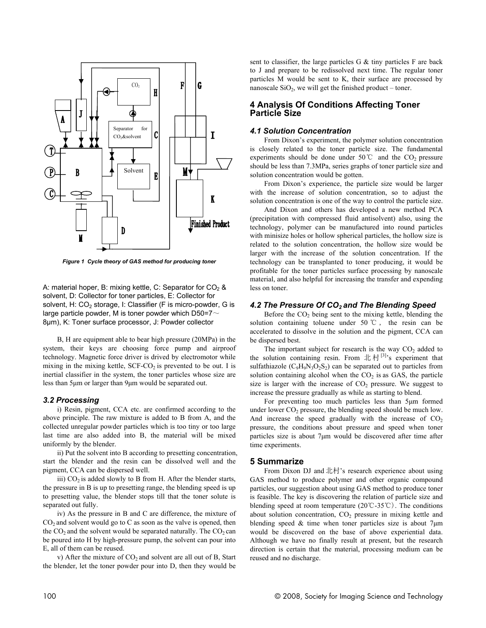

*Figure 1 Cycle theory of GAS method for producing toner* 

A: material hoper, B: mixing kettle, C: Separator for  $CO<sub>2</sub>$  & solvent, D: Collector for toner particles, E: Collector for solvent, H: CO<sub>2</sub> storage, I: Classifier (F is micro-powder, G is large particle powder, M is toner powder which D50=7 $\sim$ 8μm), K: Toner surface processor, J: Powder collector

B, H are equipment able to bear high pressure (20MPa) in the system, their keys are choosing force pump and airproof technology. Magnetic force driver is drived by electromotor while mixing in the mixing kettle,  $SCF-CO<sub>2</sub>$  is prevented to be out. I is inertial classifier in the system, the toner particles whose size are less than 5μm or larger than 9μm would be separated out.

#### *3.2 Processing*

i) Resin, pigment, CCA etc. are confirmed according to the above principle. The raw mixture is added to B from A, and the collected unregular powder particles which is too tiny or too large last time are also added into B, the material will be mixed uniformly by the blender.

ii) Put the solvent into B according to presetting concentration, start the blender and the resin can be dissolved well and the pigment, CCA can be dispersed well.

iii)  $CO<sub>2</sub>$  is added slowly to B from H. After the blender starts, the pressure in B is up to presetting range, the blending speed is up to presetting value, the blender stops till that the toner solute is separated out fully.

iv) As the pressure in B and C are difference, the mixture of  $CO<sub>2</sub>$  and solvent would go to C as soon as the valve is opened, then the  $CO<sub>2</sub>$  and the solvent would be separated naturally. The  $CO<sub>2</sub>$  can be poured into H by high-pressure pump, the solvent can pour into E, all of them can be reused.

v) After the mixture of  $CO<sub>2</sub>$  and solvent are all out of B, Start the blender, let the toner powder pour into D, then they would be sent to classifier, the large particles  $G \&$  tiny particles  $F$  are back to J and prepare to be redissolved next time. The regular toner particles M would be sent to K, their surface are processed by nanoscale  $SiO<sub>2</sub>$ , we will get the finished product – toner.

## **4 Analysis Of Conditions Affecting Toner Particle Size**

#### *4.1 Solution Concentration*

From Dixon's experiment, the polymer solution concentration is closely related to the toner particle size. The fundamental experiments should be done under  $50^{\circ}$  and the CO<sub>2</sub> pressure should be less than 7.3MPa, series graphs of toner particle size and solution concentration would be gotten.

From Dixon's experience, the particle size would be larger with the increase of solution concentration, so to adjust the solution concentration is one of the way to control the particle size.

And Dixon and others has developed a new method PCA (precipitation with compressed fluid antisolvent) also, using the technology, polymer can be manufactured into round particles with minisize holes or hollow spherical particles, the hollow size is related to the solution concentration, the hollow size would be larger with the increase of the solution concentration. If the technology can be transplanted to toner producing, it would be profitable for the toner particles surface processing by nanoscale material, and also helpful for increasing the transfer and expending less on toner.

### *4.2 The Pressure Of CO2 and The Blending Speed*

Before the  $CO<sub>2</sub>$  being sent to the mixing kettle, blending the solution containing toluene under 50 ℃ , the resin can be accelerated to dissolve in the solution and the pigment, CCA can be dispersed best.

The important subject for research is the way  $CO<sub>2</sub>$  added to the solution containing resin. From 北村 $[3]$ 's experiment that sulfathiazole  $(C_9H_9N_3O_2S_2)$  can be separated out to particles from solution containing alcohol when the  $CO<sub>2</sub>$  is as GAS, the particle size is larger with the increase of  $CO<sub>2</sub>$  pressure. We suggest to increase the pressure gradually as while as starting to blend.

For preventing too much particles less than 5μm formed under lower  $CO<sub>2</sub>$  pressure, the blending speed should be much low. And increase the speed gradually with the increase of  $CO<sub>2</sub>$ pressure, the conditions about pressure and speed when toner particles size is about 7μm would be discovered after time after time experiments.

#### **5 Summarize**

From Dixon DJ and 北村's research experience about using GAS method to produce polymer and other organic compound particles, our suggestion about using GAS method to produce toner is feasible. The key is discovering the relation of particle size and blending speed at room temperature (20℃-35℃). The conditions about solution concentration,  $CO<sub>2</sub>$  pressure in mixing kettle and blending speed  $\&$  time when toner particles size is about 7 $\mu$ m would be discovered on the base of above experiential data. Although we have no finally result at present, but the research direction is certain that the material, processing medium can be reused and no discharge.